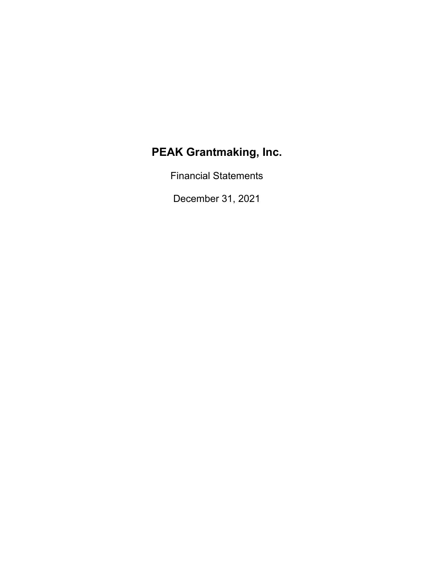Financial Statements

December 31, 2021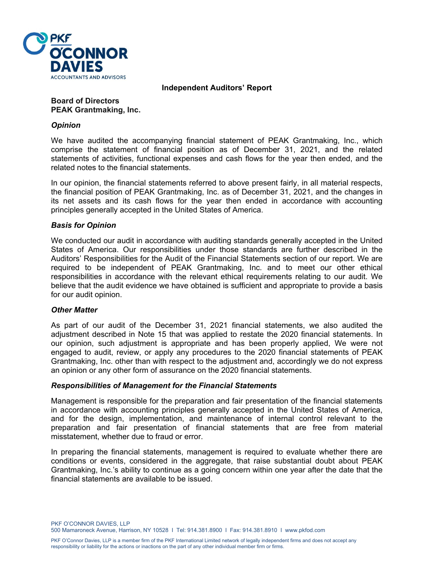

**Independent Auditors' Report** 

# **Board of Directors PEAK Grantmaking, Inc.**

# *Opinion*

We have audited the accompanying financial statement of PEAK Grantmaking, Inc., which comprise the statement of financial position as of December 31, 2021, and the related statements of activities, functional expenses and cash flows for the year then ended, and the related notes to the financial statements.

In our opinion, the financial statements referred to above present fairly, in all material respects, the financial position of PEAK Grantmaking, Inc. as of December 31, 2021, and the changes in its net assets and its cash flows for the year then ended in accordance with accounting principles generally accepted in the United States of America.

# *Basis for Opinion*

We conducted our audit in accordance with auditing standards generally accepted in the United States of America. Our responsibilities under those standards are further described in the Auditors' Responsibilities for the Audit of the Financial Statements section of our report. We are required to be independent of PEAK Grantmaking, Inc. and to meet our other ethical responsibilities in accordance with the relevant ethical requirements relating to our audit. We believe that the audit evidence we have obtained is sufficient and appropriate to provide a basis for our audit opinion.

#### *Other Matter*

As part of our audit of the December 31, 2021 financial statements, we also audited the adjustment described in Note 15 that was applied to restate the 2020 financial statements. In our opinion, such adjustment is appropriate and has been properly applied, We were not engaged to audit, review, or apply any procedures to the 2020 financial statements of PEAK Grantmaking, Inc. other than with respect to the adjustment and, accordingly we do not express an opinion or any other form of assurance on the 2020 financial statements.

#### *Responsibilities of Management for the Financial Statements*

Management is responsible for the preparation and fair presentation of the financial statements in accordance with accounting principles generally accepted in the United States of America, and for the design, implementation, and maintenance of internal control relevant to the preparation and fair presentation of financial statements that are free from material misstatement, whether due to fraud or error.

In preparing the financial statements, management is required to evaluate whether there are conditions or events, considered in the aggregate, that raise substantial doubt about PEAK Grantmaking, Inc.'s ability to continue as a going concern within one year after the date that the financial statements are available to be issued.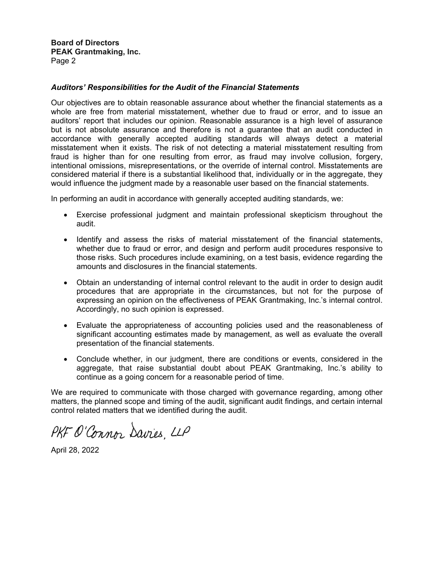**Board of Directors PEAK Grantmaking, Inc.**  Page 2

#### *Auditors' Responsibilities for the Audit of the Financial Statements*

Our objectives are to obtain reasonable assurance about whether the financial statements as a whole are free from material misstatement, whether due to fraud or error, and to issue an auditors' report that includes our opinion. Reasonable assurance is a high level of assurance but is not absolute assurance and therefore is not a guarantee that an audit conducted in accordance with generally accepted auditing standards will always detect a material misstatement when it exists. The risk of not detecting a material misstatement resulting from fraud is higher than for one resulting from error, as fraud may involve collusion, forgery, intentional omissions, misrepresentations, or the override of internal control. Misstatements are considered material if there is a substantial likelihood that, individually or in the aggregate, they would influence the judgment made by a reasonable user based on the financial statements.

In performing an audit in accordance with generally accepted auditing standards, we:

- Exercise professional judgment and maintain professional skepticism throughout the audit.
- Identify and assess the risks of material misstatement of the financial statements, whether due to fraud or error, and design and perform audit procedures responsive to those risks. Such procedures include examining, on a test basis, evidence regarding the amounts and disclosures in the financial statements.
- Obtain an understanding of internal control relevant to the audit in order to design audit procedures that are appropriate in the circumstances, but not for the purpose of expressing an opinion on the effectiveness of PEAK Grantmaking, Inc.'s internal control. Accordingly, no such opinion is expressed.
- Evaluate the appropriateness of accounting policies used and the reasonableness of significant accounting estimates made by management, as well as evaluate the overall presentation of the financial statements.
- Conclude whether, in our judgment, there are conditions or events, considered in the aggregate, that raise substantial doubt about PEAK Grantmaking, Inc.'s ability to continue as a going concern for a reasonable period of time.

We are required to communicate with those charged with governance regarding, among other matters, the planned scope and timing of the audit, significant audit findings, and certain internal control related matters that we identified during the audit.

PKF O'Connor Davies, LLP

April 28, 2022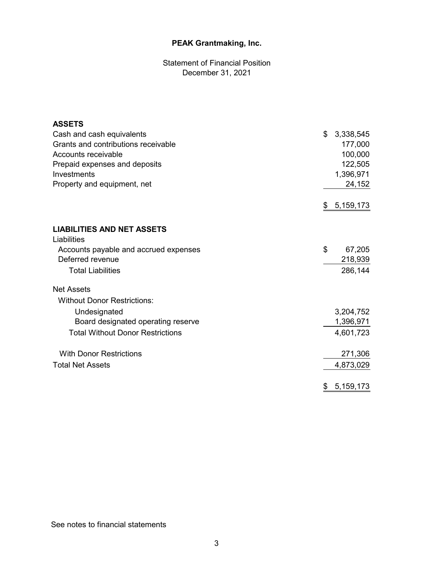Statement of Financial Position December 31, 2021

| <b>ASSETS</b>                           |                 |
|-----------------------------------------|-----------------|
| Cash and cash equivalents               | \$<br>3,338,545 |
| Grants and contributions receivable     | 177,000         |
| Accounts receivable                     | 100,000         |
| Prepaid expenses and deposits           | 122,505         |
| Investments                             | 1,396,971       |
| Property and equipment, net             | 24,152          |
|                                         | \$<br>5,159,173 |
| <b>LIABILITIES AND NET ASSETS</b>       |                 |
| Liabilities                             |                 |
| Accounts payable and accrued expenses   | \$<br>67,205    |
| Deferred revenue                        | 218,939         |
| <b>Total Liabilities</b>                | 286,144         |
| <b>Net Assets</b>                       |                 |
| <b>Without Donor Restrictions:</b>      |                 |
| Undesignated                            | 3,204,752       |
| Board designated operating reserve      | 1,396,971       |
| <b>Total Without Donor Restrictions</b> | 4,601,723       |
| <b>With Donor Restrictions</b>          | 271,306         |
| <b>Total Net Assets</b>                 | 4,873,029       |
|                                         | \$<br>5,159,173 |

See notes to financial statements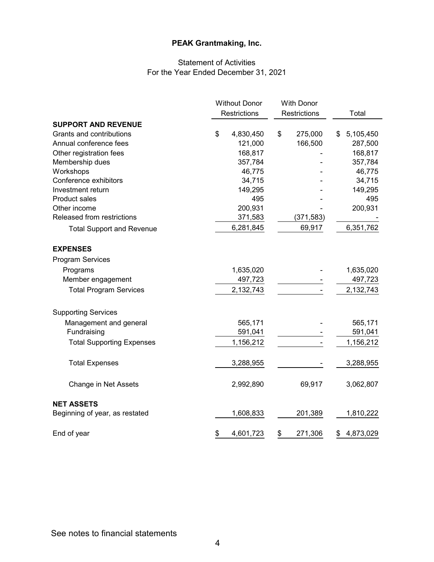# Statement of Activities For the Year Ended December 31, 2021

|                                  | <b>Without Donor</b> |              |    | <b>With Donor</b>   |                 |
|----------------------------------|----------------------|--------------|----|---------------------|-----------------|
|                                  |                      | Restrictions |    | <b>Restrictions</b> | Total           |
| <b>SUPPORT AND REVENUE</b>       |                      |              |    |                     |                 |
| Grants and contributions         | \$                   | 4,830,450    | \$ | 275,000             | \$<br>5,105,450 |
| Annual conference fees           |                      | 121,000      |    | 166,500             | 287,500         |
| Other registration fees          |                      | 168,817      |    |                     | 168,817         |
| Membership dues                  |                      | 357,784      |    |                     | 357,784         |
| Workshops                        |                      | 46,775       |    |                     | 46,775          |
| Conference exhibitors            |                      | 34,715       |    |                     | 34,715          |
| Investment return                |                      | 149,295      |    |                     | 149,295         |
| <b>Product sales</b>             |                      | 495          |    |                     | 495             |
| Other income                     |                      | 200,931      |    |                     | 200,931         |
| Released from restrictions       |                      | 371,583      |    | (371, 583)          |                 |
| <b>Total Support and Revenue</b> |                      | 6,281,845    |    | 69,917              | 6,351,762       |
| <b>EXPENSES</b>                  |                      |              |    |                     |                 |
| <b>Program Services</b>          |                      |              |    |                     |                 |
| Programs                         |                      | 1,635,020    |    |                     | 1,635,020       |
| Member engagement                |                      | 497,723      |    |                     | 497,723         |
| <b>Total Program Services</b>    |                      | 2,132,743    |    |                     | 2,132,743       |
|                                  |                      |              |    |                     |                 |
| <b>Supporting Services</b>       |                      |              |    |                     |                 |
| Management and general           |                      | 565,171      |    |                     | 565,171         |
| Fundraising                      |                      | 591,041      |    |                     | 591,041         |
| <b>Total Supporting Expenses</b> |                      | 1,156,212    |    |                     | 1,156,212       |
| <b>Total Expenses</b>            |                      | 3,288,955    |    |                     | 3,288,955       |
| Change in Net Assets             |                      | 2,992,890    |    | 69,917              | 3,062,807       |
| <b>NET ASSETS</b>                |                      |              |    |                     |                 |
| Beginning of year, as restated   |                      | 1,608,833    |    | 201,389             | 1,810,222       |
| End of year                      | \$                   | 4,601,723    | \$ | 271,306             | \$<br>4,873,029 |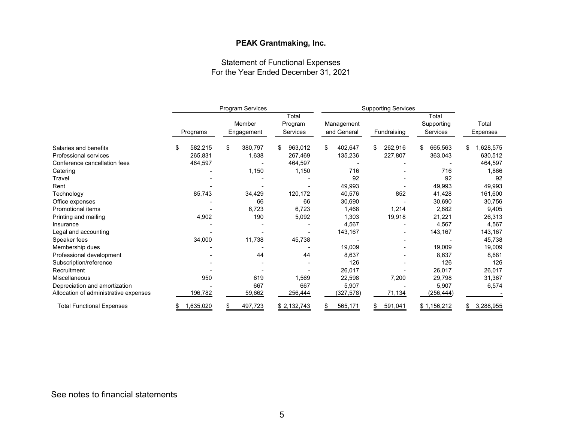# Statement of Functional Expenses For the Year Ended December 31, 2021

|                                       | Program Services |    |            | <b>Supporting Services</b> |    |             |    |             |               |                 |
|---------------------------------------|------------------|----|------------|----------------------------|----|-------------|----|-------------|---------------|-----------------|
|                                       |                  |    |            | Total                      |    |             |    |             | Total         |                 |
|                                       |                  |    | Member     | Program                    |    | Management  |    |             | Supporting    | Total           |
|                                       | Programs         |    | Engagement | Services                   |    | and General |    | Fundraising | Services      | Expenses        |
| Salaries and benefits                 | \$<br>582,215    | \$ | 380,797    | \$<br>963,012              | \$ | 402,647     | \$ | 262,916     | \$<br>665,563 | \$<br>1,628,575 |
| <b>Professional services</b>          | 265,831          |    | 1,638      | 267,469                    |    | 135,236     |    | 227,807     | 363,043       | 630,512         |
| Conference cancellation fees          | 464,597          |    |            | 464,597                    |    |             |    |             |               | 464,597         |
| Catering                              |                  |    | 1,150      | 1,150                      |    | 716         |    |             | 716           | 1,866           |
| <b>Travel</b>                         |                  |    |            |                            |    | 92          |    |             | 92            | 92              |
| Rent                                  |                  |    |            |                            |    | 49,993      |    |             | 49,993        | 49,993          |
| Technology                            | 85,743           |    | 34,429     | 120,172                    |    | 40,576      |    | 852         | 41,428        | 161,600         |
| Office expenses                       |                  |    | 66         | 66                         |    | 30,690      |    |             | 30,690        | 30,756          |
| <b>Promotional items</b>              |                  |    | 6,723      | 6,723                      |    | 1,468       |    | 1,214       | 2,682         | 9,405           |
| Printing and mailing                  | 4,902            |    | 190        | 5,092                      |    | 1,303       |    | 19,918      | 21,221        | 26,313          |
| Insurance                             |                  |    |            |                            |    | 4,567       |    |             | 4,567         | 4,567           |
| Legal and accounting                  |                  |    |            |                            |    | 143,167     |    |             | 143,167       | 143,167         |
| Speaker fees                          | 34,000           |    | 11,738     | 45,738                     |    |             |    |             |               | 45,738          |
| Membership dues                       |                  |    |            |                            |    | 19,009      |    |             | 19,009        | 19,009          |
| Professional development              |                  |    | 44         | 44                         |    | 8,637       |    |             | 8,637         | 8,681           |
| Subscription/reference                |                  |    |            |                            |    | 126         |    |             | 126           | 126             |
| Recruitment                           |                  |    |            |                            |    | 26,017      |    |             | 26,017        | 26,017          |
| Miscellaneous                         | 950              |    | 619        | 1,569                      |    | 22,598      |    | 7,200       | 29,798        | 31,367          |
| Depreciation and amortization         |                  |    | 667        | 667                        |    | 5,907       |    |             | 5,907         | 6,574           |
| Allocation of administrative expenses | 196,782          |    | 59,662     | 256,444                    |    | (327,578)   |    | 71,134      | (256,444)     |                 |
| <b>Total Functional Expenses</b>      | \$<br>1,635,020  |    | 497,723    | \$2,132,743                | S  | 565,171     |    | 591,041     | \$1,156,212   | \$<br>3,288,955 |

# See notes to financial statements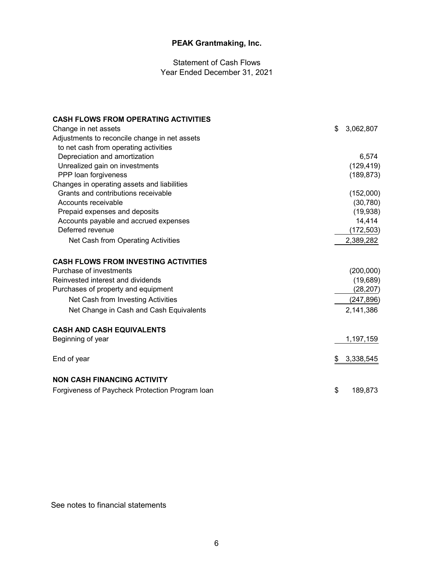Statement of Cash Flows Year Ended December 31, 2021

| <b>CASH FLOWS FROM OPERATING ACTIVITIES</b>     |                 |
|-------------------------------------------------|-----------------|
| Change in net assets                            | \$<br>3,062,807 |
| Adjustments to reconcile change in net assets   |                 |
| to net cash from operating activities           |                 |
| Depreciation and amortization                   | 6,574           |
| Unrealized gain on investments                  | (129, 419)      |
| PPP loan forgiveness                            | (189, 873)      |
| Changes in operating assets and liabilities     |                 |
| Grants and contributions receivable             | (152,000)       |
| Accounts receivable                             | (30, 780)       |
| Prepaid expenses and deposits                   | (19, 938)       |
| Accounts payable and accrued expenses           | 14,414          |
| Deferred revenue                                | (172, 503)      |
| Net Cash from Operating Activities              | 2,389,282       |
| <b>CASH FLOWS FROM INVESTING ACTIVITIES</b>     |                 |
| Purchase of investments                         | (200,000)       |
| Reinvested interest and dividends               | (19, 689)       |
| Purchases of property and equipment             | (28, 207)       |
| Net Cash from Investing Activities              | (247, 896)      |
| Net Change in Cash and Cash Equivalents         | 2,141,386       |
| <b>CASH AND CASH EQUIVALENTS</b>                |                 |
| Beginning of year                               | 1,197,159       |
| End of year                                     | \$<br>3,338,545 |
| <b>NON CASH FINANCING ACTIVITY</b>              |                 |
| Forgiveness of Paycheck Protection Program Ioan | \$<br>189,873   |

See notes to financial statements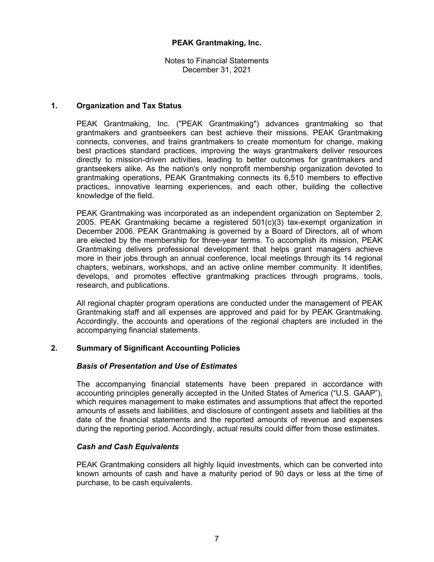Notes to Financial Statements December 31, 2021

# **1. Organization and Tax Status**

PEAK Grantmaking, Inc. ("PEAK Grantmaking") advances grantmaking so that grantmakers and grantseekers can best achieve their missions. PEAK Grantmaking connects, convenes, and trains grantmakers to create momentum for change, making best practices standard practices, improving the ways grantmakers deliver resources directly to mission-driven activities, leading to better outcomes for grantmakers and grantseekers alike. As the nation's only nonprofit membership organization devoted to grantmaking operations, PEAK Grantmaking connects its 6,510 members to effective practices, innovative learning experiences, and each other, building the collective knowledge of the field.

PEAK Grantmaking was incorporated as an independent organization on September 2, 2005. PEAK Grantmaking became a registered 501(c)(3) tax-exempt organization in December 2006. PEAK Grantmaking is governed by a Board of Directors, all of whom are elected by the membership for three-year terms. To accomplish its mission, PEAK Grantmaking delivers professional development that helps grant managers achieve more in their jobs through an annual conference, local meetings through its 14 regional chapters, webinars, workshops, and an active online member community. It identifies, develops, and promotes effective grantmaking practices through programs, tools, research, and publications.

All regional chapter program operations are conducted under the management of PEAK Grantmaking staff and all expenses are approved and paid for by PEAK Grantmaking. Accordingly, the accounts and operations of the regional chapters are included in the accompanying financial statements.

# **2. Summary of Significant Accounting Policies**

#### *Basis of Presentation and Use of Estimates*

The accompanying financial statements have been prepared in accordance with accounting principles generally accepted in the United States of America ("U.S. GAAP"), which requires management to make estimates and assumptions that affect the reported amounts of assets and liabilities, and disclosure of contingent assets and liabilities at the date of the financial statements and the reported amounts of revenue and expenses during the reporting period. Accordingly, actual results could differ from those estimates.

#### *Cash and Cash Equivalents*

PEAK Grantmaking considers all highly liquid investments, which can be converted into known amounts of cash and have a maturity period of 90 days or less at the time of purchase, to be cash equivalents.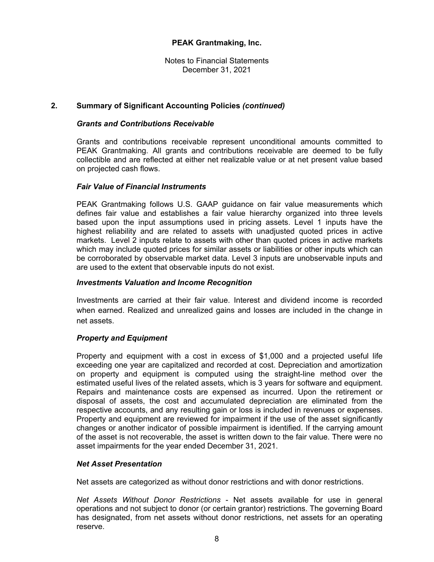Notes to Financial Statements December 31, 2021

# **2. Summary of Significant Accounting Policies** *(continued)*

#### *Grants and Contributions Receivable*

Grants and contributions receivable represent unconditional amounts committed to PEAK Grantmaking. All grants and contributions receivable are deemed to be fully collectible and are reflected at either net realizable value or at net present value based on projected cash flows.

#### *Fair Value of Financial Instruments*

PEAK Grantmaking follows U.S. GAAP guidance on fair value measurements which defines fair value and establishes a fair value hierarchy organized into three levels based upon the input assumptions used in pricing assets. Level 1 inputs have the highest reliability and are related to assets with unadjusted quoted prices in active markets. Level 2 inputs relate to assets with other than quoted prices in active markets which may include quoted prices for similar assets or liabilities or other inputs which can be corroborated by observable market data. Level 3 inputs are unobservable inputs and are used to the extent that observable inputs do not exist.

#### *Investments Valuation and Income Recognition*

Investments are carried at their fair value. Interest and dividend income is recorded when earned. Realized and unrealized gains and losses are included in the change in net assets.

#### *Property and Equipment*

Property and equipment with a cost in excess of \$1,000 and a projected useful life exceeding one year are capitalized and recorded at cost. Depreciation and amortization on property and equipment is computed using the straight-line method over the estimated useful lives of the related assets, which is 3 years for software and equipment. Repairs and maintenance costs are expensed as incurred. Upon the retirement or disposal of assets, the cost and accumulated depreciation are eliminated from the respective accounts, and any resulting gain or loss is included in revenues or expenses. Property and equipment are reviewed for impairment if the use of the asset significantly changes or another indicator of possible impairment is identified. If the carrying amount of the asset is not recoverable, the asset is written down to the fair value. There were no asset impairments for the year ended December 31, 2021.

#### *Net Asset Presentation*

Net assets are categorized as without donor restrictions and with donor restrictions.

*Net Assets Without Donor Restrictions* - Net assets available for use in general operations and not subject to donor (or certain grantor) restrictions. The governing Board has designated, from net assets without donor restrictions, net assets for an operating reserve.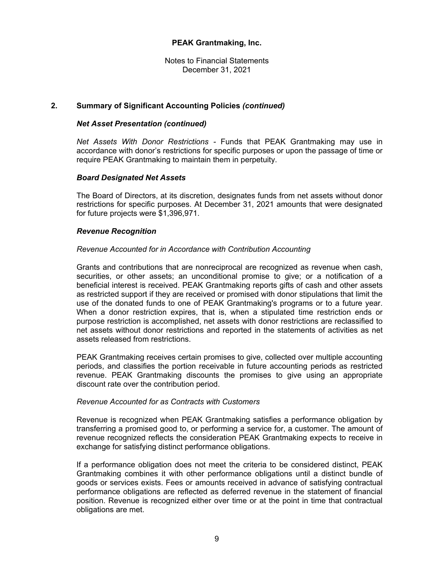Notes to Financial Statements December 31, 2021

# **2. Summary of Significant Accounting Policies** *(continued)*

#### *Net Asset Presentation (continued)*

*Net Assets With Donor Restrictions -* Funds that PEAK Grantmaking may use in accordance with donor's restrictions for specific purposes or upon the passage of time or require PEAK Grantmaking to maintain them in perpetuity.

# *Board Designated Net Assets*

The Board of Directors, at its discretion, designates funds from net assets without donor restrictions for specific purposes. At December 31, 2021 amounts that were designated for future projects were \$1,396,971.

#### *Revenue Recognition*

# *Revenue Accounted for in Accordance with Contribution Accounting*

Grants and contributions that are nonreciprocal are recognized as revenue when cash, securities, or other assets; an unconditional promise to give; or a notification of a beneficial interest is received. PEAK Grantmaking reports gifts of cash and other assets as restricted support if they are received or promised with donor stipulations that limit the use of the donated funds to one of PEAK Grantmaking's programs or to a future year. When a donor restriction expires, that is, when a stipulated time restriction ends or purpose restriction is accomplished, net assets with donor restrictions are reclassified to net assets without donor restrictions and reported in the statements of activities as net assets released from restrictions.

PEAK Grantmaking receives certain promises to give, collected over multiple accounting periods, and classifies the portion receivable in future accounting periods as restricted revenue. PEAK Grantmaking discounts the promises to give using an appropriate discount rate over the contribution period.

#### *Revenue Accounted for as Contracts with Customers*

Revenue is recognized when PEAK Grantmaking satisfies a performance obligation by transferring a promised good to, or performing a service for, a customer. The amount of revenue recognized reflects the consideration PEAK Grantmaking expects to receive in exchange for satisfying distinct performance obligations.

If a performance obligation does not meet the criteria to be considered distinct, PEAK Grantmaking combines it with other performance obligations until a distinct bundle of goods or services exists. Fees or amounts received in advance of satisfying contractual performance obligations are reflected as deferred revenue in the statement of financial position. Revenue is recognized either over time or at the point in time that contractual obligations are met.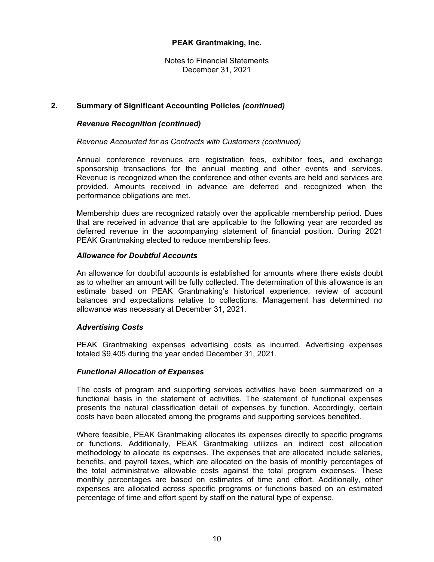Notes to Financial Statements December 31, 2021

# **2. Summary of Significant Accounting Policies** *(continued)*

## *Revenue Recognition (continued)*

#### *Revenue Accounted for as Contracts with Customers (continued)*

Annual conference revenues are registration fees, exhibitor fees, and exchange sponsorship transactions for the annual meeting and other events and services. Revenue is recognized when the conference and other events are held and services are provided. Amounts received in advance are deferred and recognized when the performance obligations are met.

Membership dues are recognized ratably over the applicable membership period. Dues that are received in advance that are applicable to the following year are recorded as deferred revenue in the accompanying statement of financial position. During 2021 PEAK Grantmaking elected to reduce membership fees.

#### *Allowance for Doubtful Accounts*

An allowance for doubtful accounts is established for amounts where there exists doubt as to whether an amount will be fully collected. The determination of this allowance is an estimate based on PEAK Grantmaking's historical experience, review of account balances and expectations relative to collections. Management has determined no allowance was necessary at December 31, 2021.

#### *Advertising Costs*

PEAK Grantmaking expenses advertising costs as incurred. Advertising expenses totaled \$9,405 during the year ended December 31, 2021.

#### *Functional Allocation of Expenses*

The costs of program and supporting services activities have been summarized on a functional basis in the statement of activities. The statement of functional expenses presents the natural classification detail of expenses by function. Accordingly, certain costs have been allocated among the programs and supporting services benefited.

Where feasible, PEAK Grantmaking allocates its expenses directly to specific programs or functions. Additionally, PEAK Grantmaking utilizes an indirect cost allocation methodology to allocate its expenses. The expenses that are allocated include salaries, benefits, and payroll taxes, which are allocated on the basis of monthly percentages of the total administrative allowable costs against the total program expenses. These monthly percentages are based on estimates of time and effort. Additionally, other expenses are allocated across specific programs or functions based on an estimated percentage of time and effort spent by staff on the natural type of expense.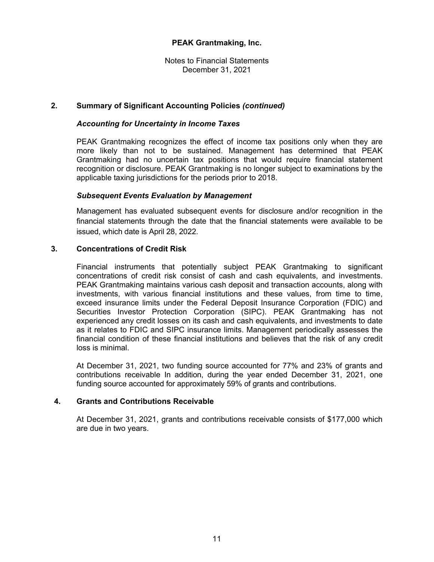Notes to Financial Statements December 31, 2021

# **2. Summary of Significant Accounting Policies** *(continued)*

## *Accounting for Uncertainty in Income Taxes*

PEAK Grantmaking recognizes the effect of income tax positions only when they are more likely than not to be sustained. Management has determined that PEAK Grantmaking had no uncertain tax positions that would require financial statement recognition or disclosure. PEAK Grantmaking is no longer subject to examinations by the applicable taxing jurisdictions for the periods prior to 2018.

# *Subsequent Events Evaluation by Management*

Management has evaluated subsequent events for disclosure and/or recognition in the financial statements through the date that the financial statements were available to be issued, which date is April 28, 2022.

# **3. Concentrations of Credit Risk**

Financial instruments that potentially subject PEAK Grantmaking to significant concentrations of credit risk consist of cash and cash equivalents, and investments. PEAK Grantmaking maintains various cash deposit and transaction accounts, along with investments, with various financial institutions and these values, from time to time, exceed insurance limits under the Federal Deposit Insurance Corporation (FDIC) and Securities Investor Protection Corporation (SIPC). PEAK Grantmaking has not experienced any credit losses on its cash and cash equivalents, and investments to date as it relates to FDIC and SIPC insurance limits. Management periodically assesses the financial condition of these financial institutions and believes that the risk of any credit loss is minimal.

At December 31, 2021, two funding source accounted for 77% and 23% of grants and contributions receivable In addition, during the year ended December 31, 2021, one funding source accounted for approximately 59% of grants and contributions.

# **4. Grants and Contributions Receivable**

At December 31, 2021, grants and contributions receivable consists of \$177,000 which are due in two years.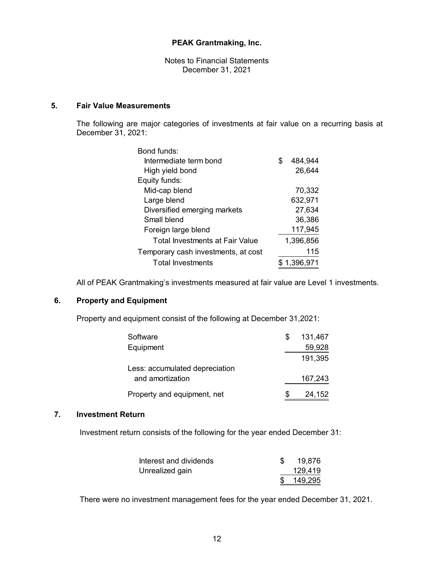Notes to Financial Statements December 31, 2021

# **5. Fair Value Measurements**

The following are major categories of investments at fair value on a recurring basis at December 31, 2021:

| Bond funds:                            |   |             |
|----------------------------------------|---|-------------|
| Intermediate term bond                 | S | 484,944     |
| High yield bond                        |   | 26,644      |
| Equity funds:                          |   |             |
| Mid-cap blend                          |   | 70,332      |
| Large blend                            |   | 632,971     |
| Diversified emerging markets           |   | 27,634      |
| Small blend                            |   | 36,386      |
| Foreign large blend                    |   | 117,945     |
| <b>Total Investments at Fair Value</b> |   | 1,396,856   |
| Temporary cash investments, at cost    |   | 115         |
| <b>Total Investments</b>               |   | \$1,396,971 |

All of PEAK Grantmaking's investments measured at fair value are Level 1 investments.

# **6. Property and Equipment**

Property and equipment consist of the following at December 31,2021:

| Software                       |   | 131,467 |
|--------------------------------|---|---------|
| Equipment                      |   | 59,928  |
|                                |   | 191,395 |
| Less: accumulated depreciation |   |         |
| and amortization               |   | 167,243 |
| Property and equipment, net    | S | 24,152  |

## **7. Investment Return**

Investment return consists of the following for the year ended December 31:

| Interest and dividends | 19,876     |
|------------------------|------------|
| Unrealized gain        | 129,419    |
|                        | \$ 149,295 |

There were no investment management fees for the year ended December 31, 2021.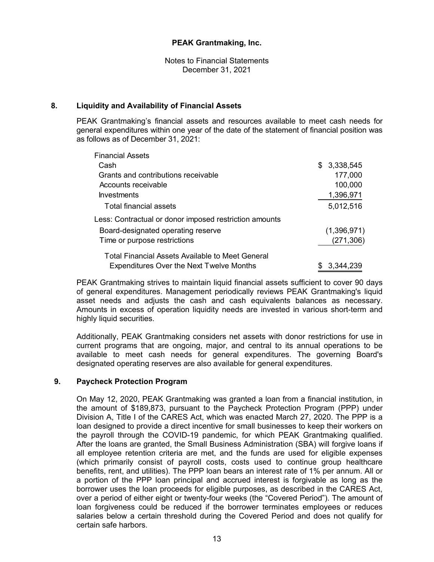Notes to Financial Statements December 31, 2021

# **8. Liquidity and Availability of Financial Assets**

PEAK Grantmaking's financial assets and resources available to meet cash needs for general expenditures within one year of the date of the statement of financial position was as follows as of December 31, 2021:

| <b>Financial Assets</b>                                |     |             |
|--------------------------------------------------------|-----|-------------|
| Cash                                                   |     | \$3,338,545 |
| Grants and contributions receivable                    |     | 177,000     |
| Accounts receivable                                    |     | 100,000     |
| <b>Investments</b>                                     |     | 1,396,971   |
| Total financial assets                                 |     | 5,012,516   |
| Less: Contractual or donor imposed restriction amounts |     |             |
| Board-designated operating reserve                     |     | (1,396,971) |
| Time or purpose restrictions                           |     | (271, 306)  |
| Total Financial Assets Available to Meet General       |     |             |
| <b>Expenditures Over the Next Twelve Months</b>        | SS. | -3.344.239  |

PEAK Grantmaking strives to maintain liquid financial assets sufficient to cover 90 days of general expenditures. Management periodically reviews PEAK Grantmaking's liquid asset needs and adjusts the cash and cash equivalents balances as necessary. Amounts in excess of operation liquidity needs are invested in various short-term and highly liquid securities.

Additionally, PEAK Grantmaking considers net assets with donor restrictions for use in current programs that are ongoing, major, and central to its annual operations to be available to meet cash needs for general expenditures. The governing Board's designated operating reserves are also available for general expenditures.

#### **9. Paycheck Protection Program**

On May 12, 2020, PEAK Grantmaking was granted a loan from a financial institution, in the amount of \$189,873, pursuant to the Paycheck Protection Program (PPP) under Division A, Title I of the CARES Act, which was enacted March 27, 2020. The PPP is a loan designed to provide a direct incentive for small businesses to keep their workers on the payroll through the COVID-19 pandemic, for which PEAK Grantmaking qualified. After the loans are granted, the Small Business Administration (SBA) will forgive loans if all employee retention criteria are met, and the funds are used for eligible expenses (which primarily consist of payroll costs, costs used to continue group healthcare benefits, rent, and utilities). The PPP loan bears an interest rate of 1% per annum. All or a portion of the PPP loan principal and accrued interest is forgivable as long as the borrower uses the loan proceeds for eligible purposes, as described in the CARES Act, over a period of either eight or twenty-four weeks (the "Covered Period"). The amount of loan forgiveness could be reduced if the borrower terminates employees or reduces salaries below a certain threshold during the Covered Period and does not qualify for certain safe harbors.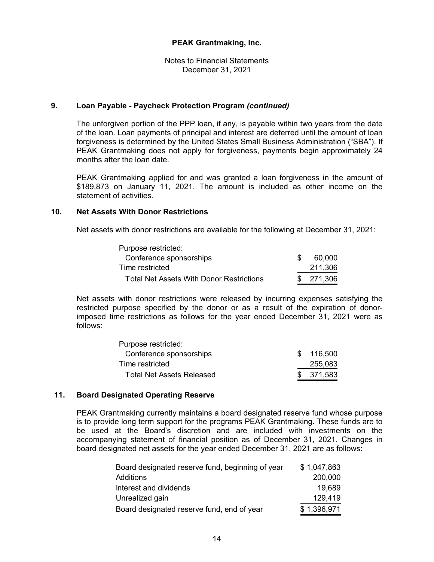Notes to Financial Statements December 31, 2021

## **9. Loan Payable - Paycheck Protection Program** *(continued)*

The unforgiven portion of the PPP loan, if any, is payable within two years from the date of the loan. Loan payments of principal and interest are deferred until the amount of loan forgiveness is determined by the United States Small Business Administration ("SBA"). If PEAK Grantmaking does not apply for forgiveness, payments begin approximately 24 months after the loan date.

PEAK Grantmaking applied for and was granted a loan forgiveness in the amount of \$189,873 on January 11, 2021. The amount is included as other income on the statement of activities.

#### **10. Net Assets With Donor Restrictions**

Net assets with donor restrictions are available for the following at December 31, 2021:

| Purpose restricted:                             |            |
|-------------------------------------------------|------------|
| Conference sponsorships                         | 60,000     |
| Time restricted                                 | 211,306    |
| <b>Total Net Assets With Donor Restrictions</b> | \$ 271.306 |

Net assets with donor restrictions were released by incurring expenses satisfying the restricted purpose specified by the donor or as a result of the expiration of donorimposed time restrictions as follows for the year ended December 31, 2021 were as follows:

| Purpose restricted:       |            |
|---------------------------|------------|
| Conference sponsorships   | \$116,500  |
| Time restricted           | 255,083    |
| Total Net Assets Released | \$ 371,583 |

# **11. Board Designated Operating Reserve**

PEAK Grantmaking currently maintains a board designated reserve fund whose purpose is to provide long term support for the programs PEAK Grantmaking. These funds are to be used at the Board's discretion and are included with investments on the accompanying statement of financial position as of December 31, 2021. Changes in board designated net assets for the year ended December 31, 2021 are as follows:

| Board designated reserve fund, beginning of year | \$1,047,863 |
|--------------------------------------------------|-------------|
| Additions                                        | 200,000     |
| Interest and dividends                           | 19,689      |
| Unrealized gain                                  | 129,419     |
| Board designated reserve fund, end of year       | \$1,396,971 |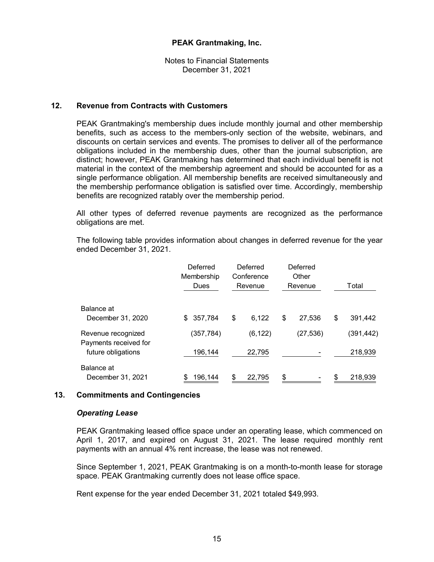Notes to Financial Statements December 31, 2021

## **12. Revenue from Contracts with Customers**

PEAK Grantmaking's membership dues include monthly journal and other membership benefits, such as access to the members-only section of the website, webinars, and discounts on certain services and events. The promises to deliver all of the performance obligations included in the membership dues, other than the journal subscription, are distinct; however, PEAK Grantmaking has determined that each individual benefit is not material in the context of the membership agreement and should be accounted for as a single performance obligation. All membership benefits are received simultaneously and the membership performance obligation is satisfied over time. Accordingly, membership benefits are recognized ratably over the membership period.

All other types of deferred revenue payments are recognized as the performance obligations are met.

The following table provides information about changes in deferred revenue for the year ended December 31, 2021.

|                                             | Deferred<br>Membership<br>Dues | Deferred<br>Conference<br>Revenue | Deferred<br>Other<br>Revenue | Total         |
|---------------------------------------------|--------------------------------|-----------------------------------|------------------------------|---------------|
| Balance at<br>December 31, 2020             | 357,784<br>\$                  | 6,122<br>\$                       | \$<br>27.536                 | \$<br>391,442 |
|                                             |                                |                                   |                              |               |
| Revenue recognized<br>Payments received for | (357, 784)                     | (6, 122)                          | (27, 536)                    | (391,442)     |
| future obligations                          | 196,144                        | 22,795                            |                              | 218,939       |
| Balance at<br>December 31, 2021             | 196,144                        | 22,795<br>S                       | \$                           | 218,939<br>\$ |

#### **13. Commitments and Contingencies**

#### *Operating Lease*

PEAK Grantmaking leased office space under an operating lease, which commenced on April 1, 2017, and expired on August 31, 2021. The lease required monthly rent payments with an annual 4% rent increase, the lease was not renewed.

Since September 1, 2021, PEAK Grantmaking is on a month-to-month lease for storage space. PEAK Grantmaking currently does not lease office space.

Rent expense for the year ended December 31, 2021 totaled \$49,993.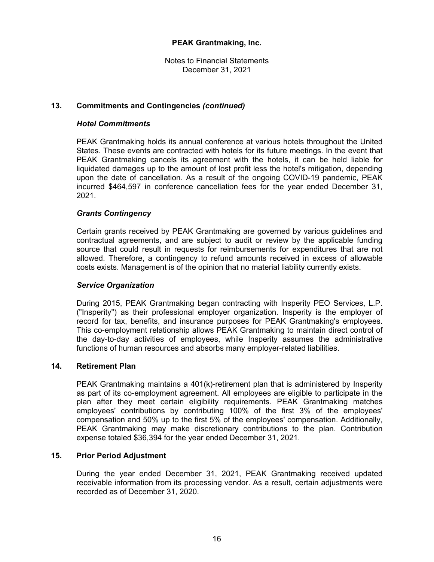Notes to Financial Statements December 31, 2021

# **13. Commitments and Contingencies** *(continued)*

## *Hotel Commitments*

PEAK Grantmaking holds its annual conference at various hotels throughout the United States. These events are contracted with hotels for its future meetings. In the event that PEAK Grantmaking cancels its agreement with the hotels, it can be held liable for liquidated damages up to the amount of lost profit less the hotel's mitigation, depending upon the date of cancellation. As a result of the ongoing COVID-19 pandemic, PEAK incurred \$464,597 in conference cancellation fees for the year ended December 31, 2021.

#### *Grants Contingency*

Certain grants received by PEAK Grantmaking are governed by various guidelines and contractual agreements, and are subject to audit or review by the applicable funding source that could result in requests for reimbursements for expenditures that are not allowed. Therefore, a contingency to refund amounts received in excess of allowable costs exists. Management is of the opinion that no material liability currently exists.

#### *Service Organization*

During 2015, PEAK Grantmaking began contracting with Insperity PEO Services, L.P. ("Insperity") as their professional employer organization. Insperity is the employer of record for tax, benefits, and insurance purposes for PEAK Grantmaking's employees. This co-employment relationship allows PEAK Grantmaking to maintain direct control of the day-to-day activities of employees, while Insperity assumes the administrative functions of human resources and absorbs many employer-related liabilities.

#### **14. Retirement Plan**

PEAK Grantmaking maintains a 401(k)-retirement plan that is administered by Insperity as part of its co-employment agreement. All employees are eligible to participate in the plan after they meet certain eligibility requirements. PEAK Grantmaking matches employees' contributions by contributing 100% of the first 3% of the employees' compensation and 50% up to the first 5% of the employees' compensation. Additionally, PEAK Grantmaking may make discretionary contributions to the plan. Contribution expense totaled \$36,394 for the year ended December 31, 2021.

#### **15. Prior Period Adjustment**

During the year ended December 31, 2021, PEAK Grantmaking received updated receivable information from its processing vendor. As a result, certain adjustments were recorded as of December 31, 2020.